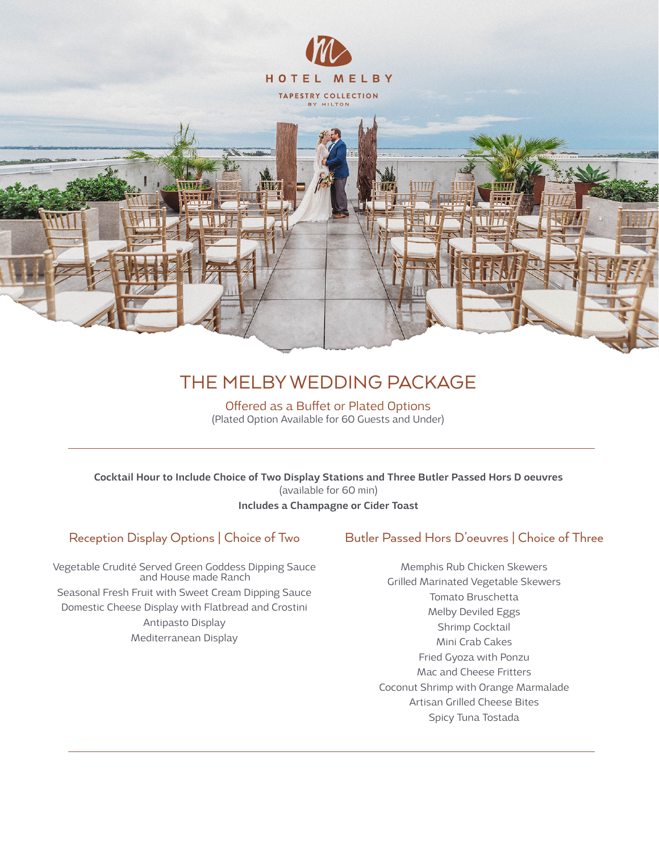

# THE MELBY WEDDING PACKAGE

Offered as a Buffet or Plated Options (Plated Option Available for 60 Guests and Under)

Cocktail Hour to Include Choice of Two Display Stations and Three Butler Passed Hors D oeuvres (available for 60 min) Includes a Champagne or Cider Toast

## Reception Display Options | Choice of Two

Vegetable Crudité Served Green Goddess Dipping Sauce and House made Ranch Seasonal Fresh Fruit with Sweet Cream Dipping Sauce Domestic Cheese Display with Flatbread and Crostini Antipasto Display Mediterranean Display

### Butler Passed Hors D'oeuvres | Choice of Three

Memphis Rub Chicken Skewers Grilled Marinated Vegetable Skewers Tomato Bruschetta Melby Deviled Eggs Shrimp Cocktail Mini Crab Cakes Fried Gyoza with Ponzu Mac and Cheese Fritters Coconut Shrimp with Orange Marmalade Artisan Grilled Cheese Bites Spicy Tuna Tostada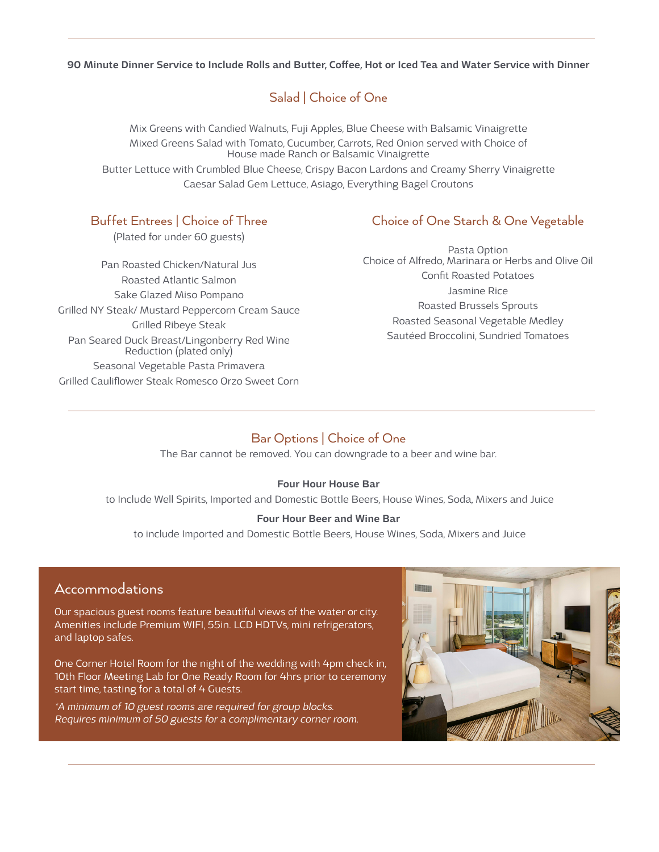90 Minute Dinner Service to Include Rolls and Butter, Coffee, Hot or Iced Tea and Water Service with Dinner

## Salad | Choice of One

Mix Greens with Candied Walnuts, Fuji Apples, Blue Cheese with Balsamic Vinaigrette Mixed Greens Salad with Tomato, Cucumber, Carrots, Red Onion served with Choice of House made Ranch or Balsamic Vinaigrette Butter Lettuce with Crumbled Blue Cheese, Crispy Bacon Lardons and Creamy Sherry Vinaigrette Caesar Salad Gem Lettuce, Asiago, Everything Bagel Croutons

## Buffet Entrees | Choice of Three

(Plated for under 60 guests)

Pan Roasted Chicken/Natural Jus Roasted Atlantic Salmon Sake Glazed Miso Pompano Grilled NY Steak/ Mustard Peppercorn Cream Sauce Grilled Ribeye Steak Pan Seared Duck Breast/Lingonberry Red Wine Reduction (plated only) Seasonal Vegetable Pasta Primavera Grilled Cauliflower Steak Romesco Orzo Sweet Corn

## Choice of One Starch & One Vegetable

Pasta Option Choice of Alfredo, Marinara or Herbs and Olive Oil Confit Roasted Potatoes Jasmine Rice Roasted Brussels Sprouts Roasted Seasonal Vegetable Medley Sautéed Broccolini, Sundried Tomatoes

## Bar Options | Choice of One

The Bar cannot be removed. You can downgrade to a beer and wine bar.

#### Four Hour House Bar

to Include Well Spirits, Imported and Domestic Bottle Beers, House Wines, Soda, Mixers and Juice

#### Four Hour Beer and Wine Bar

to include Imported and Domestic Bottle Beers, House Wines, Soda, Mixers and Juice

## Accommodations

Our spacious guest rooms feature beautiful views of the water or city. Amenities include Premium WIFI, 55in. LCD HDTVs, mini refrigerators, and laptop safes.

One Corner Hotel Room for the night of the wedding with 4pm check in, 10th Floor Meeting Lab for One Ready Room for 4hrs prior to ceremony start time, tasting for a total of 4 Guests.

\*A minimum of 10 guest rooms are required for group blocks. Requires minimum of 50 guests for a complimentary corner room.